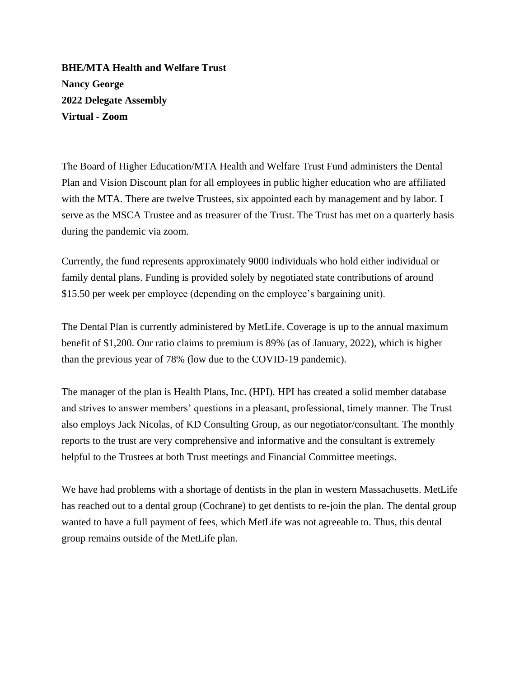**BHE/MTA Health and Welfare Trust Nancy George 2022 Delegate Assembly Virtual - Zoom**

The Board of Higher Education/MTA Health and Welfare Trust Fund administers the Dental Plan and Vision Discount plan for all employees in public higher education who are affiliated with the MTA. There are twelve Trustees, six appointed each by management and by labor. I serve as the MSCA Trustee and as treasurer of the Trust. The Trust has met on a quarterly basis during the pandemic via zoom.

Currently, the fund represents approximately 9000 individuals who hold either individual or family dental plans. Funding is provided solely by negotiated state contributions of around \$15.50 per week per employee (depending on the employee's bargaining unit).

The Dental Plan is currently administered by MetLife. Coverage is up to the annual maximum benefit of \$1,200. Our ratio claims to premium is 89% (as of January, 2022), which is higher than the previous year of 78% (low due to the COVID-19 pandemic).

The manager of the plan is Health Plans, Inc. (HPI). HPI has created a solid member database and strives to answer members' questions in a pleasant, professional, timely manner. The Trust also employs Jack Nicolas, of KD Consulting Group, as our negotiator/consultant. The monthly reports to the trust are very comprehensive and informative and the consultant is extremely helpful to the Trustees at both Trust meetings and Financial Committee meetings.

We have had problems with a shortage of dentists in the plan in western Massachusetts. MetLife has reached out to a dental group (Cochrane) to get dentists to re-join the plan. The dental group wanted to have a full payment of fees, which MetLife was not agreeable to. Thus, this dental group remains outside of the MetLife plan.